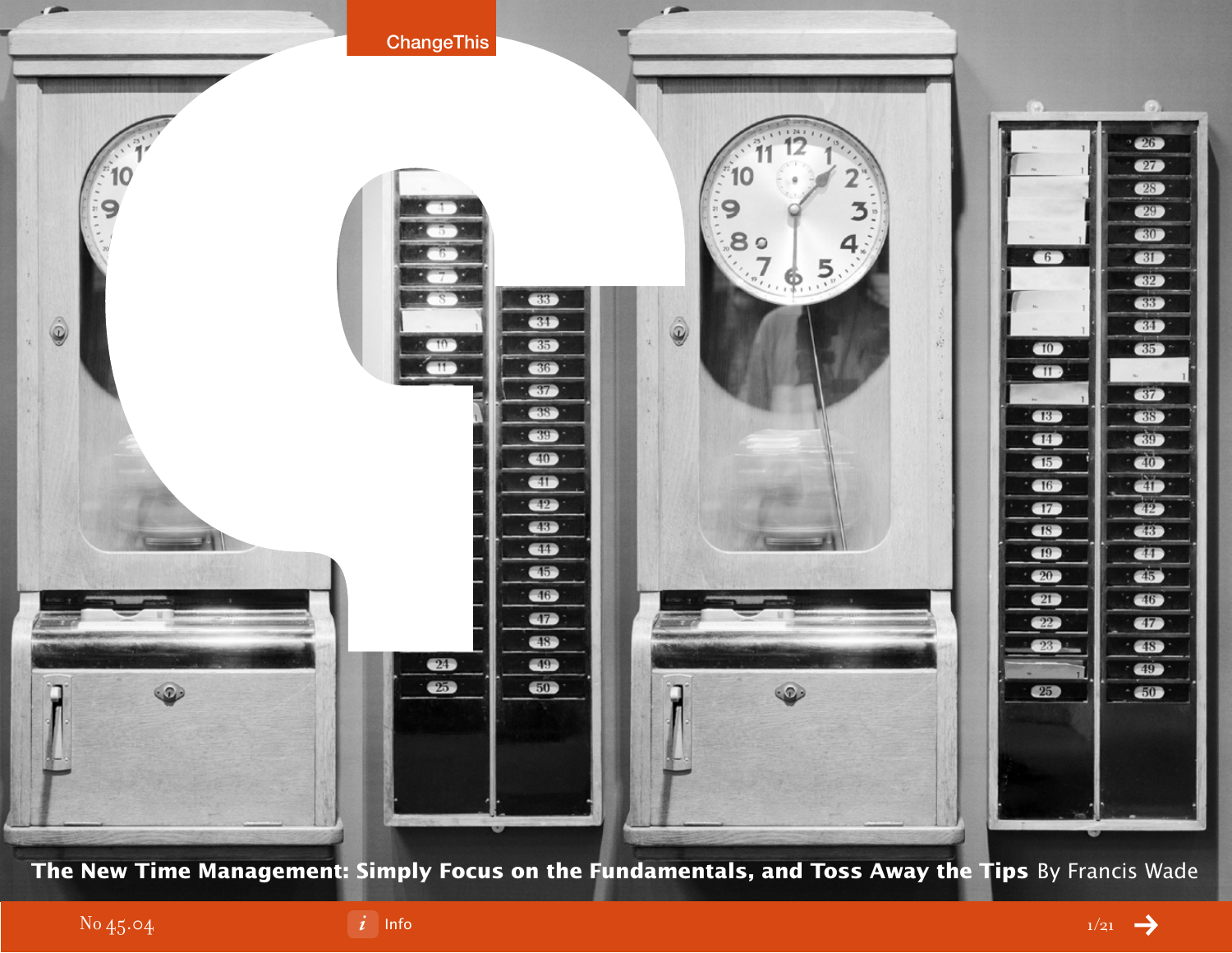

**The New Time Management: Simply Focus on the Fundamentals, and Toss Away the Tips** By Francis Wade

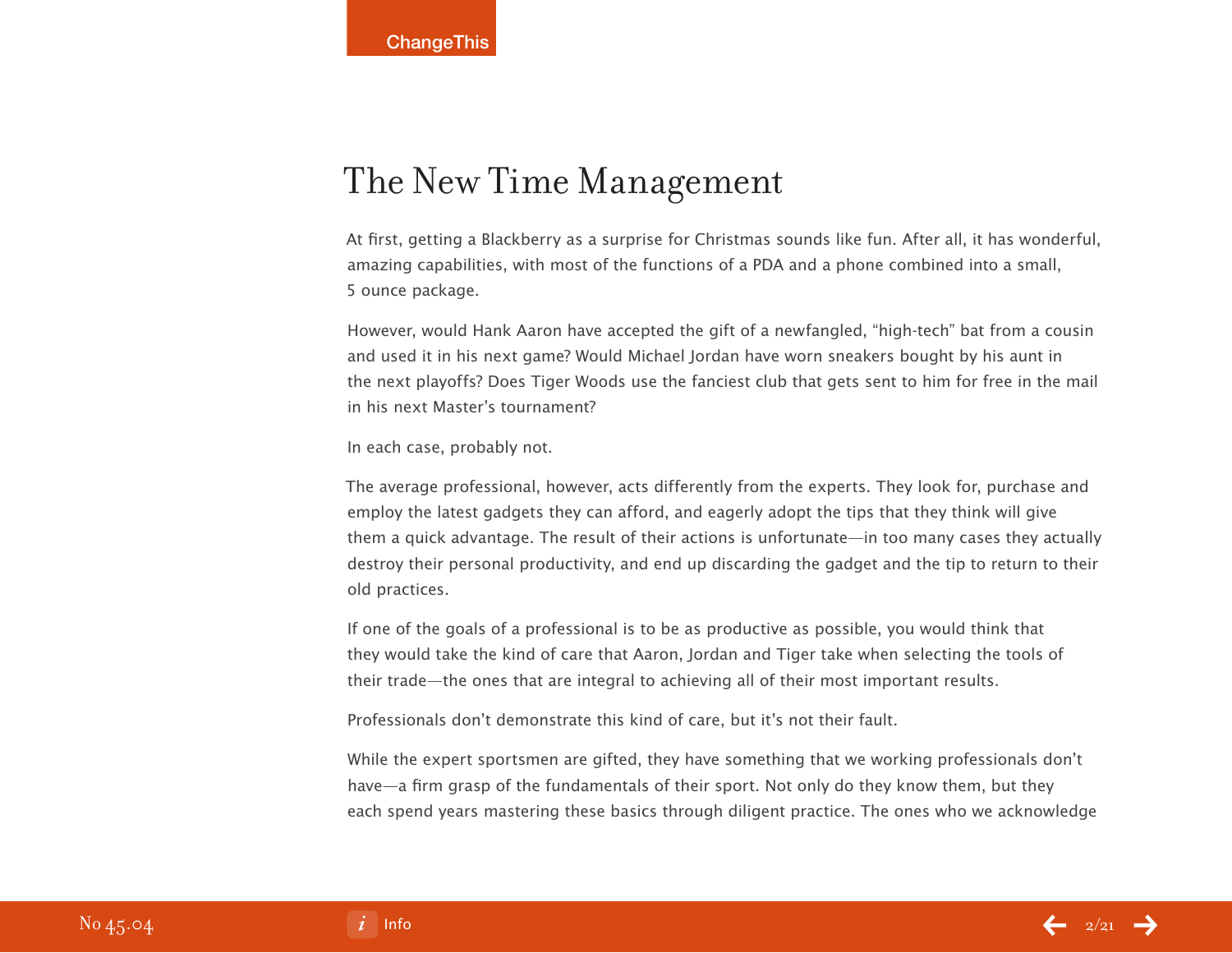# The New Time Management

At first, getting a Blackberry as a surprise for Christmas sounds like fun. After all, it has wonderful, amazing capabilities, with most of the functions of a PDA and a phone combined into a small, 5 ounce package.

However, would Hank Aaron have accepted the gift of a newfangled, "high-tech" bat from a cousin and used it in his next game? Would Michael Jordan have worn sneakers bought by his aunt in the next playoffs? Does Tiger Woods use the fanciest club that gets sent to him for free in the mail in his next Master's tournament?

In each case, probably not.

The average professional, however, acts differently from the experts. They look for, purchase and employ the latest gadgets they can afford, and eagerly adopt the tips that they think will give them a quick advantage. The result of their actions is unfortunate—in too many cases they actually destroy their personal productivity, and end up discarding the gadget and the tip to return to their old practices.

If one of the goals of a professional is to be as productive as possible, you would think that they would take the kind of care that Aaron, Jordan and Tiger take when selecting the tools of their trade—the ones that are integral to achieving all of their most important results.

Professionals don't demonstrate this kind of care, but it's not their fault.

While the expert sportsmen are gifted, they have something that we working professionals don't have—a firm grasp of the fundamentals of their sport. Not only do they know them, but they each spend years mastering these basics through diligent practice. The ones who we acknowledge

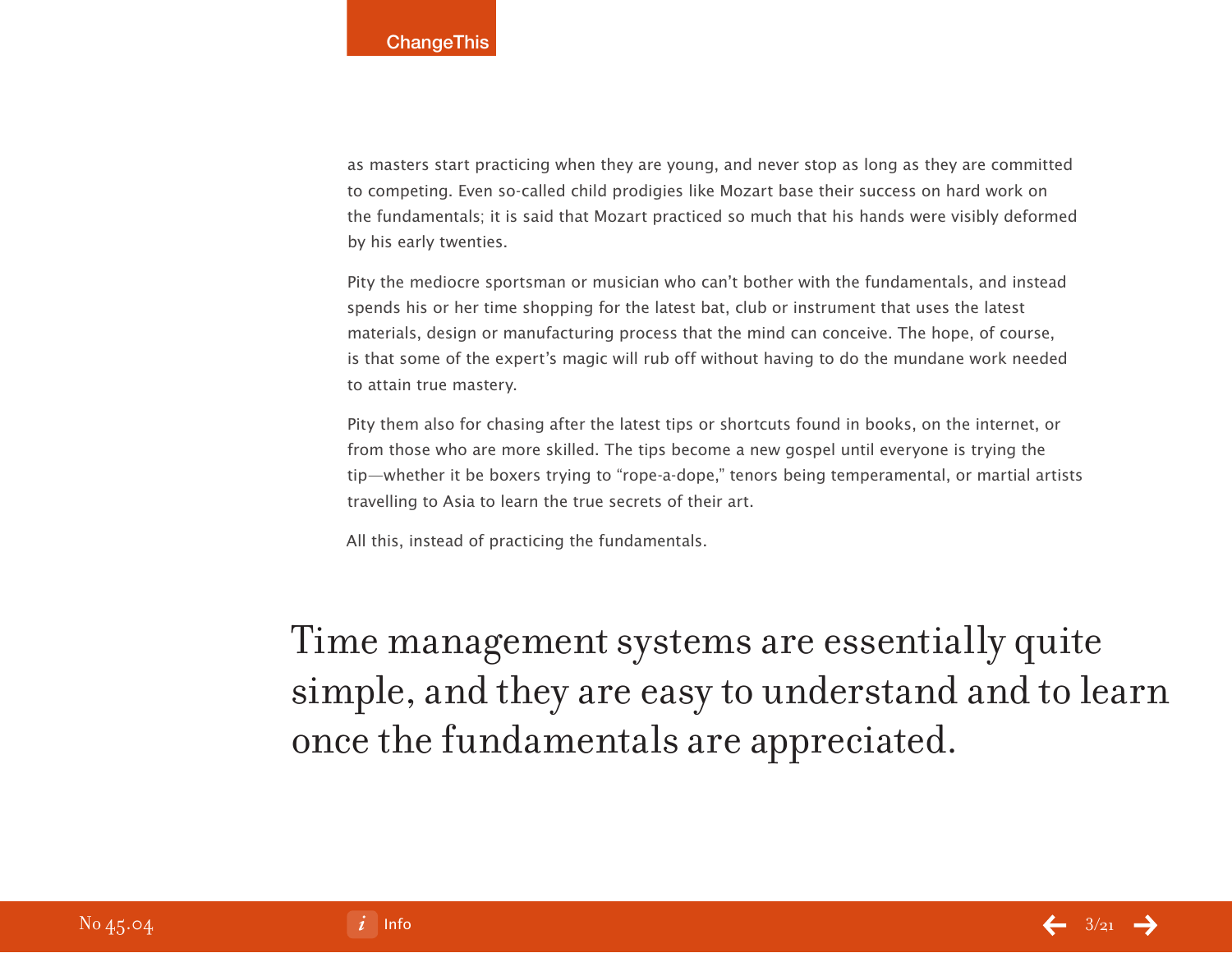as masters start practicing when they are young, and never stop as long as they are committed to competing. Even so-called child prodigies like Mozart base their success on hard work on the fundamentals; it is said that Mozart practiced so much that his hands were visibly deformed by his early twenties.

Pity the mediocre sportsman or musician who can't bother with the fundamentals, and instead spends his or her time shopping for the latest bat, club or instrument that uses the latest materials, design or manufacturing process that the mind can conceive. The hope, of course, is that some of the expert's magic will rub off without having to do the mundane work needed to attain true mastery.

Pity them also for chasing after the latest tips or shortcuts found in books, on the internet, or from those who are more skilled. The tips become a new gospel until everyone is trying the tip—whether it be boxers trying to "rope-a-dope," tenors being temperamental, or martial artists travelling to Asia to learn the true secrets of their art.

All this, instead of practicing the fundamentals.

Time management systems are essentially quite simple, and they are easy to understand and to learn once the fundamentals are appreciated.

[Info](#page-20-0)  $\leftarrow$   $3/21$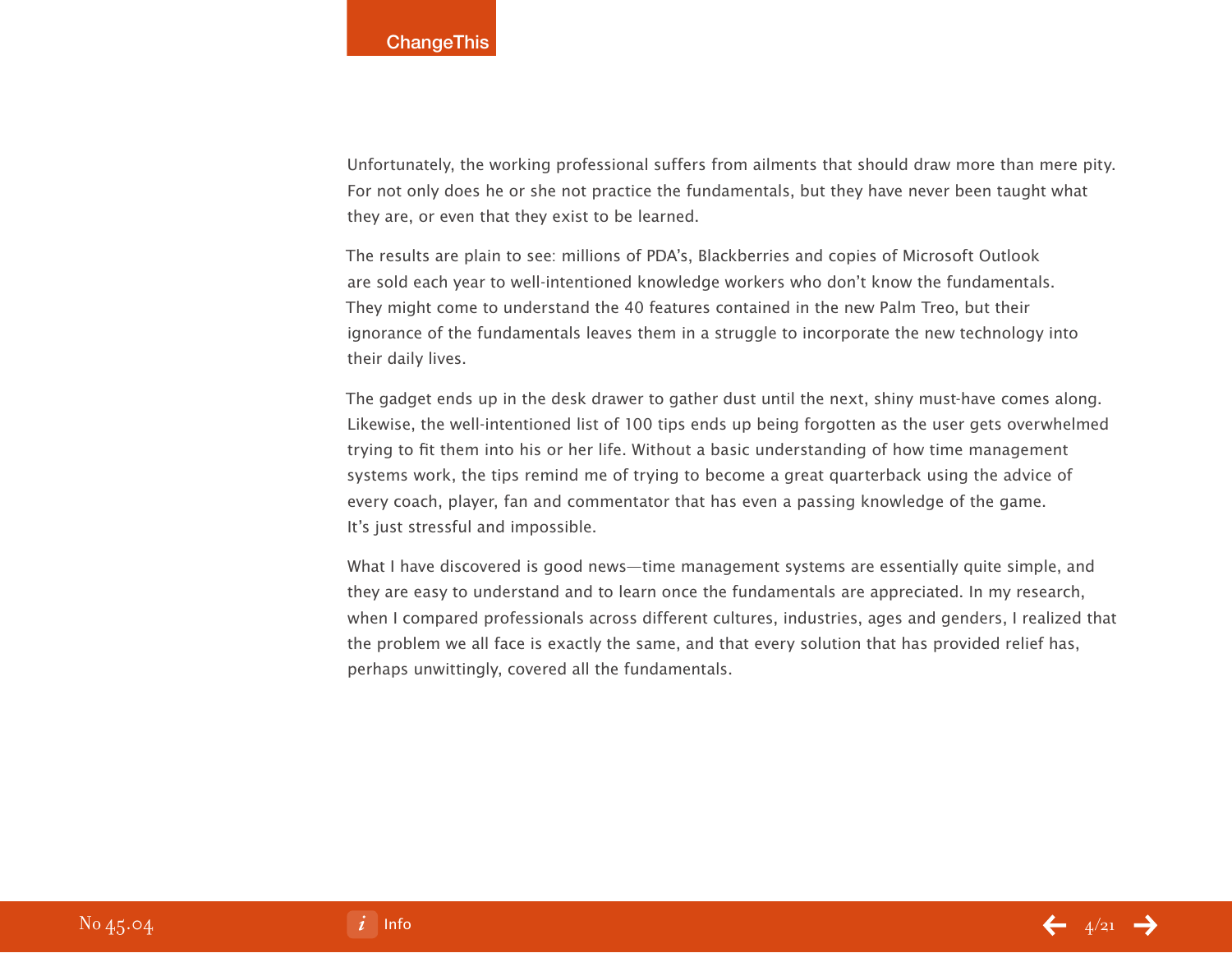Unfortunately, the working professional suffers from ailments that should draw more than mere pity. For not only does he or she not practice the fundamentals, but they have never been taught what they are, or even that they exist to be learned.

The results are plain to see: millions of PDA's, Blackberries and copies of Microsoft Outlook are sold each year to well-intentioned knowledge workers who don't know the fundamentals. They might come to understand the 40 features contained in the new Palm Treo, but their ignorance of the fundamentals leaves them in a struggle to incorporate the new technology into their daily lives.

The gadget ends up in the desk drawer to gather dust until the next, shiny must-have comes along. Likewise, the well-intentioned list of 100 tips ends up being forgotten as the user gets overwhelmed trying to fit them into his or her life. Without a basic understanding of how time management systems work, the tips remind me of trying to become a great quarterback using the advice of every coach, player, fan and commentator that has even a passing knowledge of the game. It's just stressful and impossible.

What I have discovered is good news—time management systems are essentially quite simple, and they are easy to understand and to learn once the fundamentals are appreciated. In my research, when I compared professionals across different cultures, industries, ages and genders, I realized that the problem we all face is exactly the same, and that every solution that has provided relief has, perhaps unwittingly, covered all the fundamentals.

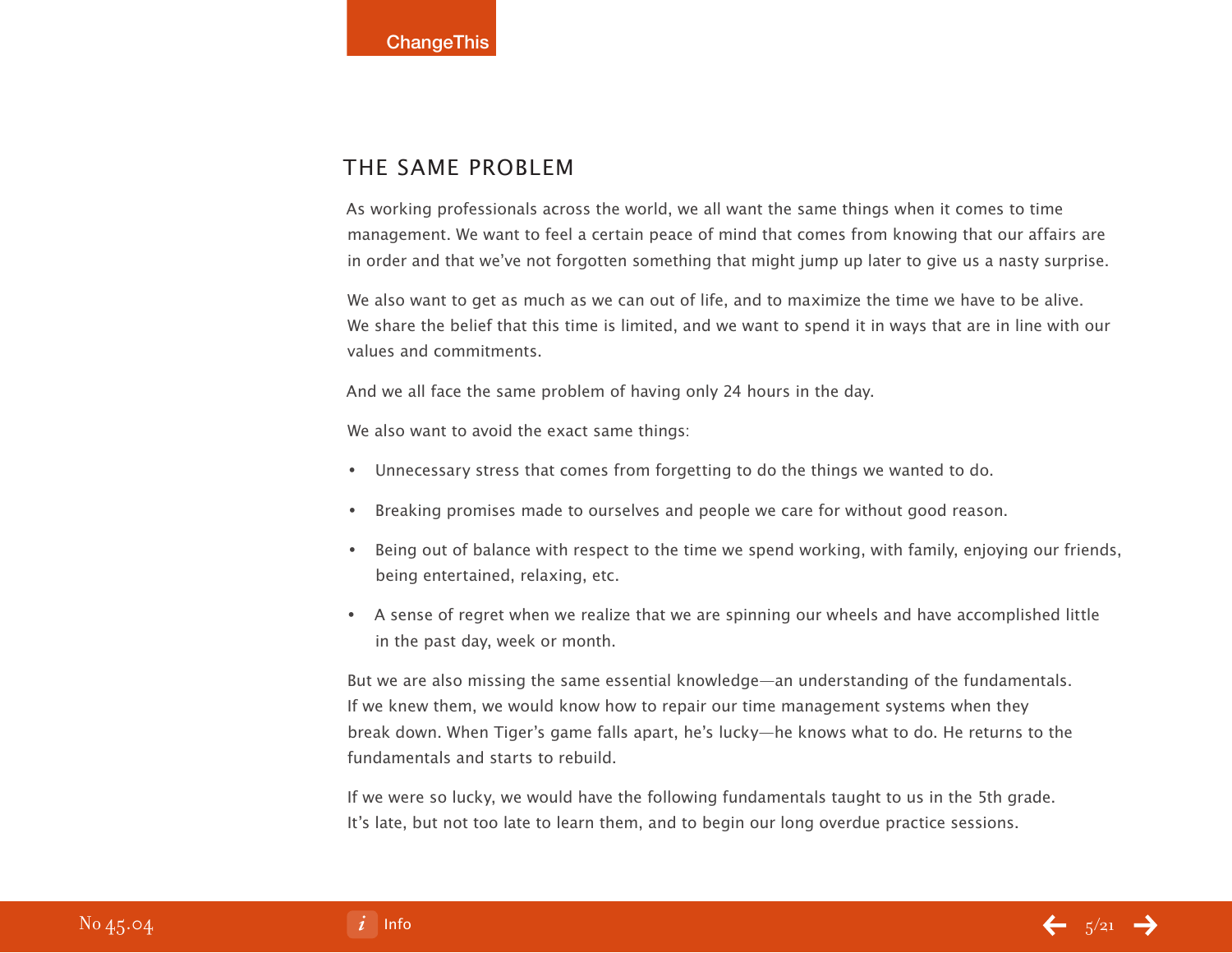## THE SAME PROBLEM

As working professionals across the world, we all want the same things when it comes to time management. We want to feel a certain peace of mind that comes from knowing that our affairs are in order and that we've not forgotten something that might jump up later to give us a nasty surprise.

We also want to get as much as we can out of life, and to maximize the time we have to be alive. We share the belief that this time is limited, and we want to spend it in ways that are in line with our values and commitments.

And we all face the same problem of having only 24 hours in the day.

We also want to avoid the exact same things:

- Unnecessary stress that comes from forgetting to do the things we wanted to do. •
- Breaking promises made to ourselves and people we care for without good reason.  $\bullet$
- Being out of balance with respect to the time we spend working, with family, enjoying our friends, being entertained, relaxing, etc. •
- A sense of regret when we realize that we are spinning our wheels and have accomplished little in the past day, week or month.

But we are also missing the same essential knowledge—an understanding of the fundamentals. If we knew them, we would know how to repair our time management systems when they break down. When Tiger's game falls apart, he's lucky—he knows what to do. He returns to the fundamentals and starts to rebuild.

If we were so lucky, we would have the following fundamentals taught to us in the 5th grade. It's late, but not too late to learn them, and to begin our long overdue practice sessions.

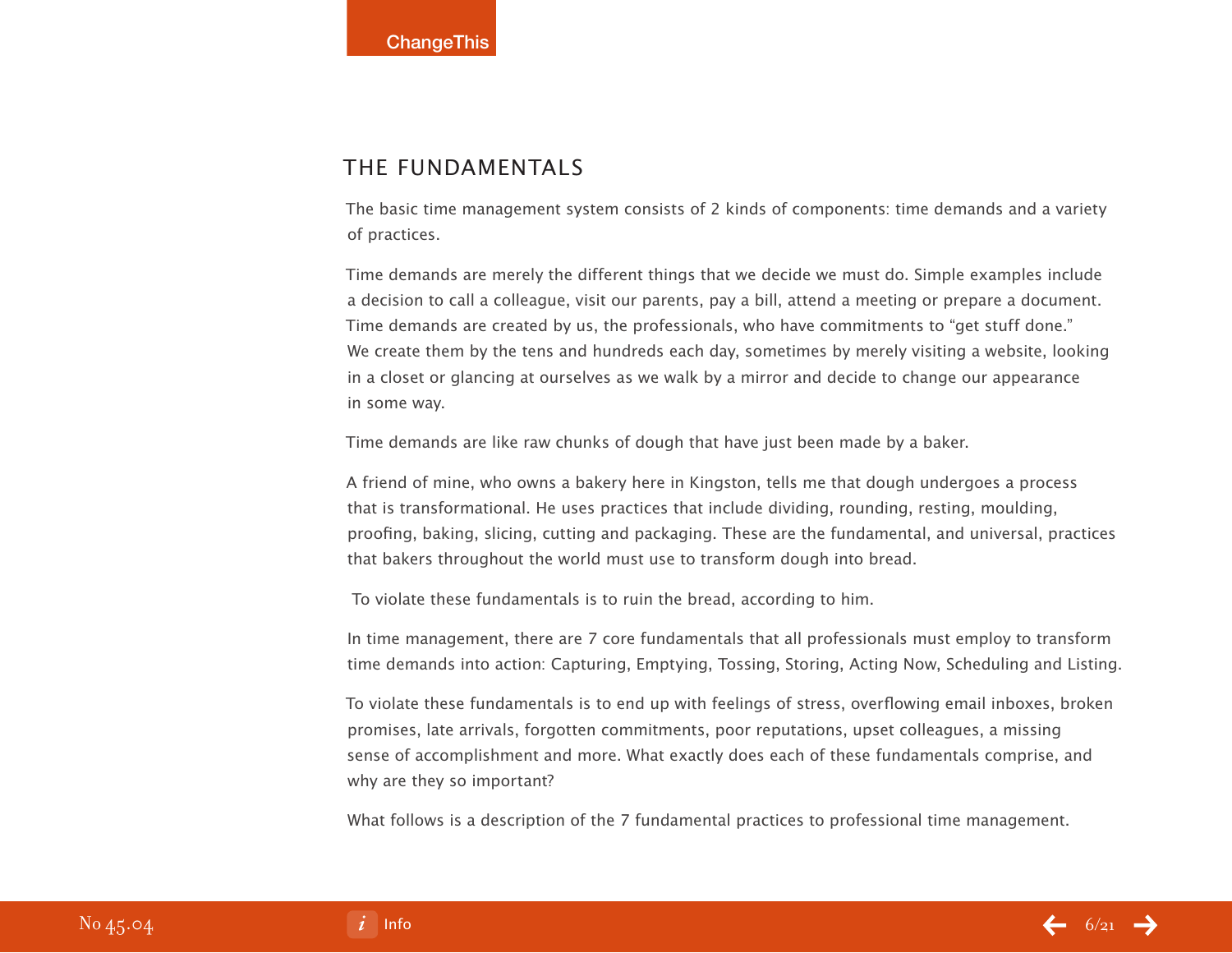## The Fundamentals

The basic time management system consists of 2 kinds of components: time demands and a variety of practices.

Time demands are merely the different things that we decide we must do. Simple examples include a decision to call a colleague, visit our parents, pay a bill, attend a meeting or prepare a document. Time demands are created by us, the professionals, who have commitments to "get stuff done." We create them by the tens and hundreds each day, sometimes by merely visiting a website, looking in a closet or glancing at ourselves as we walk by a mirror and decide to change our appearance in some way.

Time demands are like raw chunks of dough that have just been made by a baker.

A friend of mine, who owns a bakery here in Kingston, tells me that dough undergoes a process that is transformational. He uses practices that include dividing, rounding, resting, moulding, proofing, baking, slicing, cutting and packaging. These are the fundamental, and universal, practices that bakers throughout the world must use to transform dough into bread.

To violate these fundamentals is to ruin the bread, according to him.

In time management, there are 7 core fundamentals that all professionals must employ to transform time demands into action: Capturing, Emptying, Tossing, Storing, Acting Now, Scheduling and Listing.

To violate these fundamentals is to end up with feelings of stress, overflowing email inboxes, broken promises, late arrivals, forgotten commitments, poor reputations, upset colleagues, a missing sense of accomplishment and more. What exactly does each of these fundamentals comprise, and why are they so important?

What follows is a description of the 7 fundamental practices to professional time management.

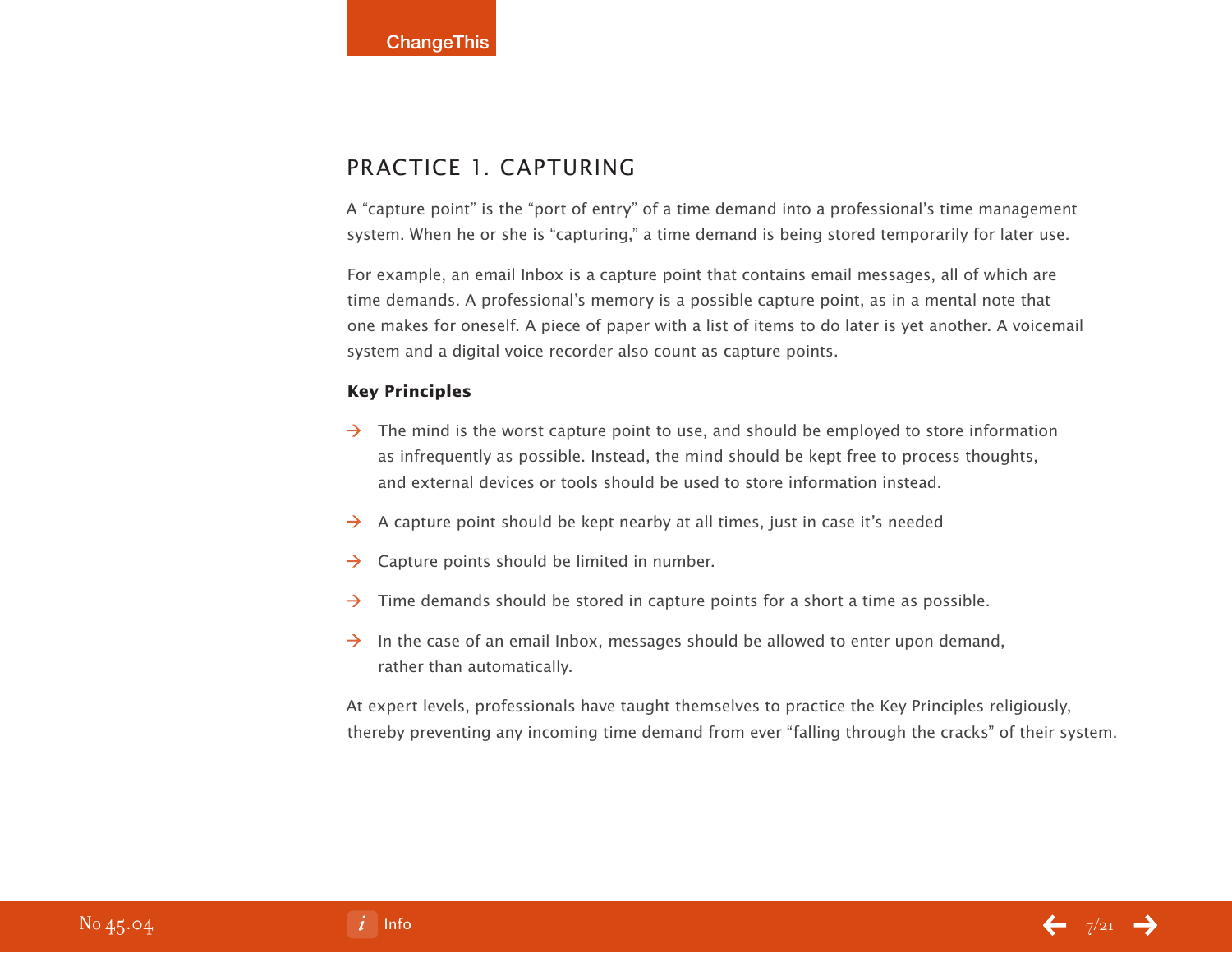## Practice 1. Capturing

A "capture point" is the "port of entry" of a time demand into a professional's time management system. When he or she is "capturing," a time demand is being stored temporarily for later use.

For example, an email Inbox is a capture point that contains email messages, all of which are time demands. A professional's memory is a possible capture point, as in a mental note that one makes for oneself. A piece of paper with a list of items to do later is yet another. A voicemail system and a digital voice recorder also count as capture points.

#### **Key Principles**

- $\rightarrow$  The mind is the worst capture point to use, and should be employed to store information as infrequently as possible. Instead, the mind should be kept free to process thoughts, and external devices or tools should be used to store information instead.
- $\rightarrow$  A capture point should be kept nearby at all times, just in case it's needed
- $\rightarrow$  Capture points should be limited in number.
- $\rightarrow$  Time demands should be stored in capture points for a short a time as possible.
- $\rightarrow$  In the case of an email Inbox, messages should be allowed to enter upon demand, rather than automatically.

At expert levels, professionals have taught themselves to practice the Key Principles religiously, thereby preventing any incoming time demand from ever "falling through the cracks" of their system.

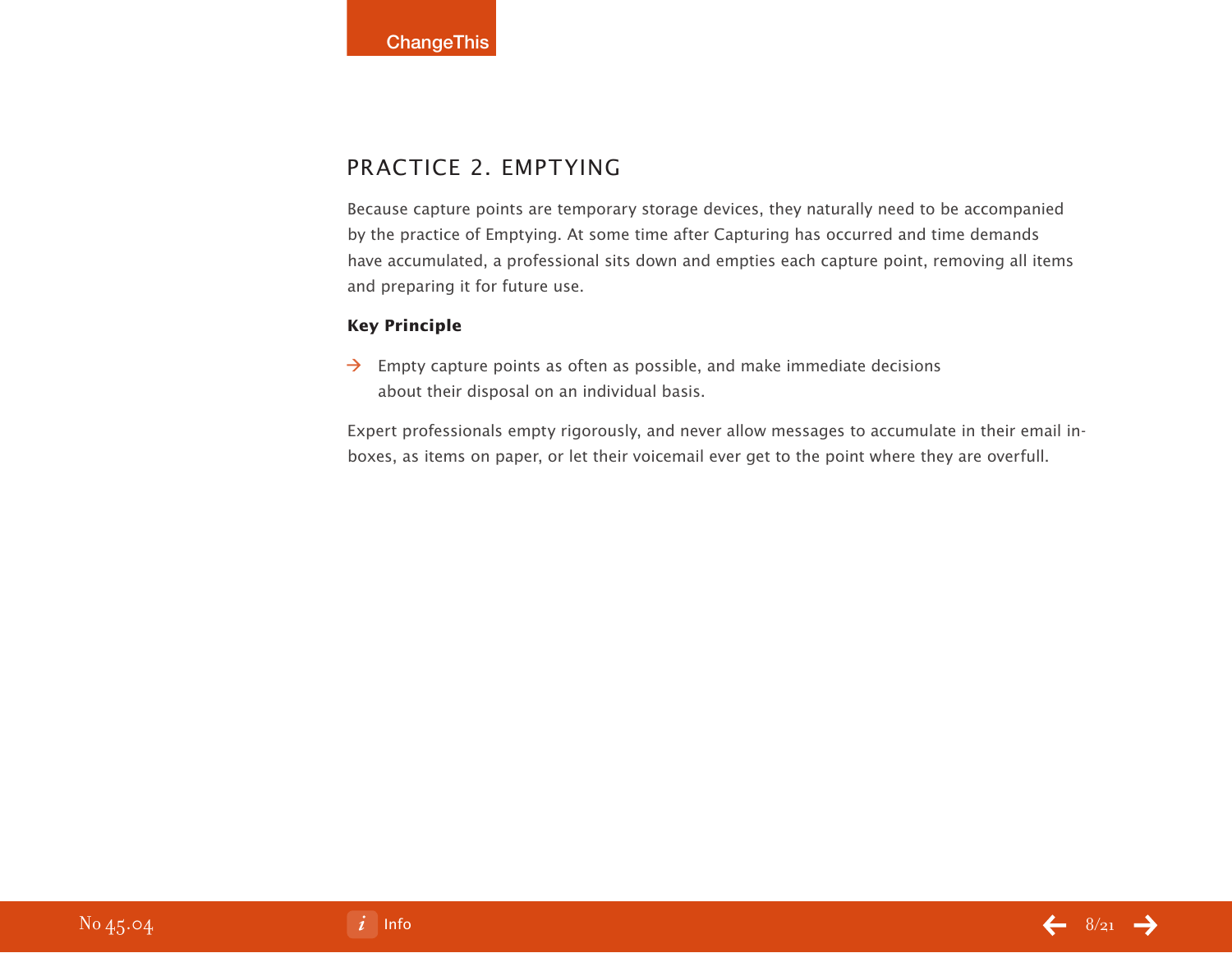# Practice 2. Emptying

Because capture points are temporary storage devices, they naturally need to be accompanied by the practice of Emptying. At some time after Capturing has occurred and time demands have accumulated, a professional sits down and empties each capture point, removing all items and preparing it for future use.

#### **Key Principle**

 $\rightarrow$  Empty capture points as often as possible, and make immediate decisions about their disposal on an individual basis.

Expert professionals empty rigorously, and never allow messages to accumulate in their email inboxes, as items on paper, or let their voicemail ever get to the point where they are overfull.

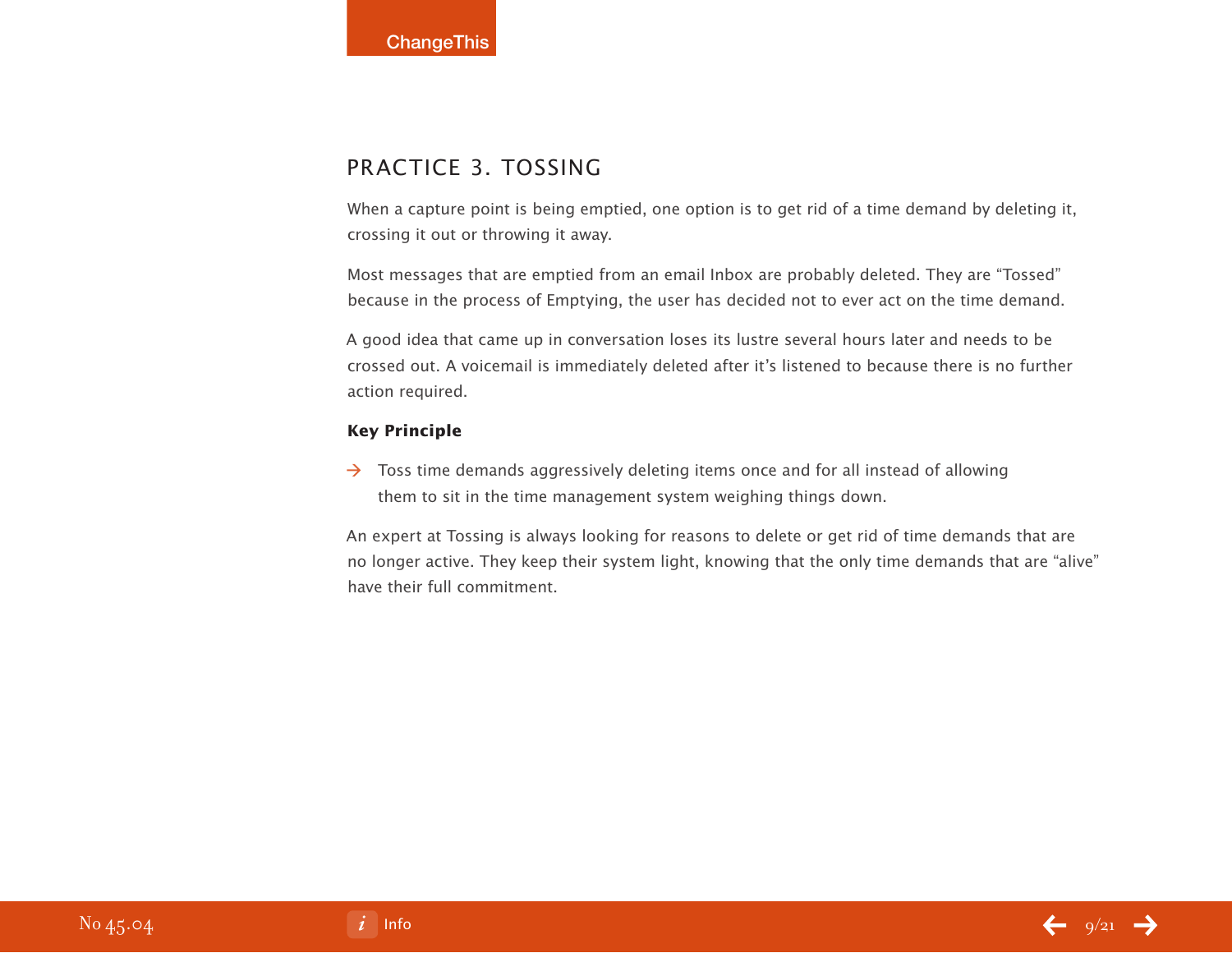## Practice 3. Tossing

When a capture point is being emptied, one option is to get rid of a time demand by deleting it, crossing it out or throwing it away.

Most messages that are emptied from an email Inbox are probably deleted. They are "Tossed" because in the process of Emptying, the user has decided not to ever act on the time demand.

A good idea that came up in conversation loses its lustre several hours later and needs to be crossed out. A voicemail is immediately deleted after it's listened to because there is no further action required.

#### **Key Principle**

 $\rightarrow$  Toss time demands aggressively deleting items once and for all instead of allowing them to sit in the time management system weighing things down.

An expert at Tossing is always looking for reasons to delete or get rid of time demands that are no longer active. They keep their system light, knowing that the only time demands that are "alive" have their full commitment.

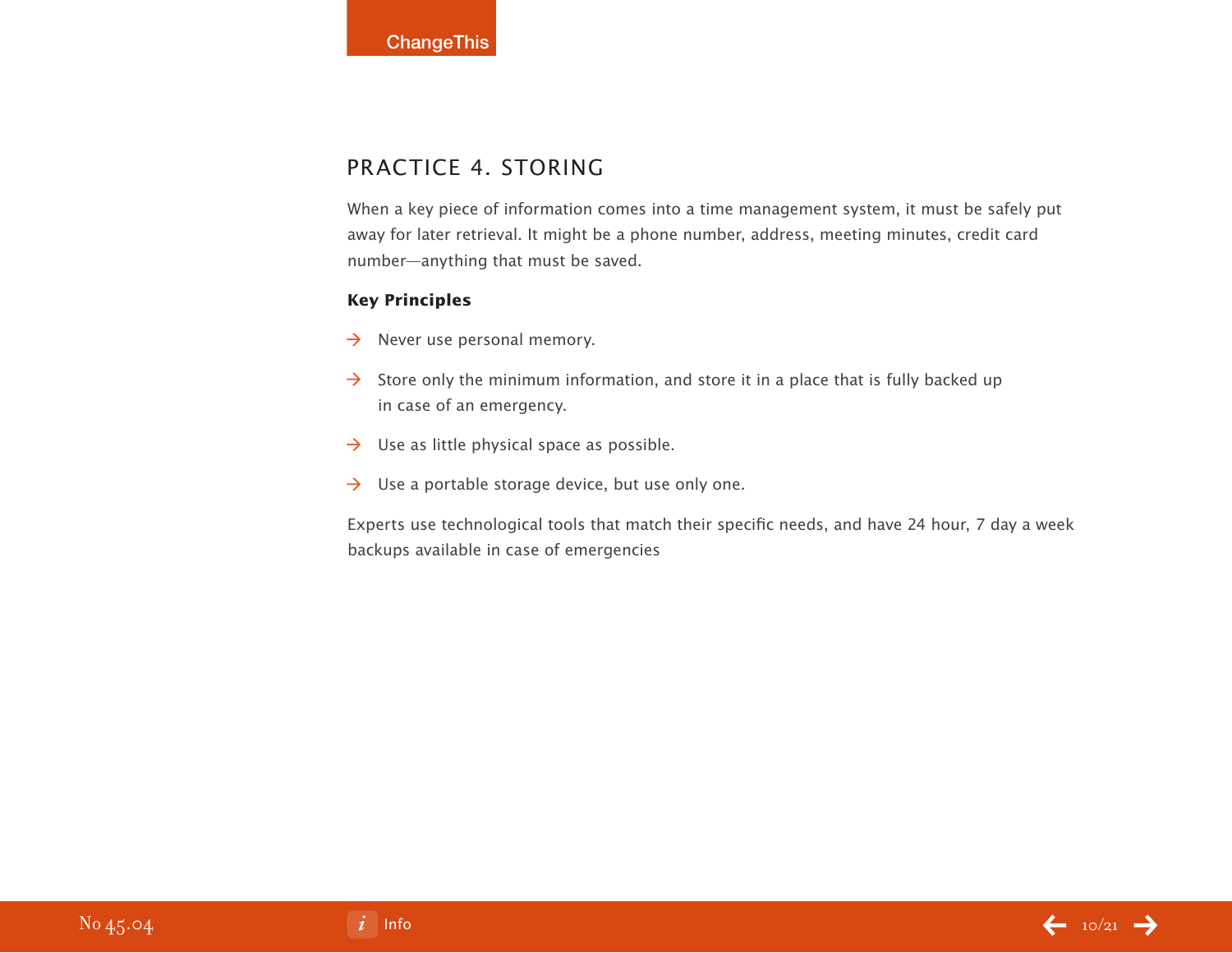# PRACTICE 4. STORING

When a key piece of information comes into a time management system, it must be safely put away for later retrieval. It might be a phone number, address, meeting minutes, credit card number—anything that must be saved.

#### **Key Principles**

- $\rightarrow$  Never use personal memory.
- $\rightarrow$  Store only the minimum information, and store it in a place that is fully backed up in case of an emergency.
- $\rightarrow$  Use as little physical space as possible.
- $\rightarrow$  Use a portable storage device, but use only one.

Experts use technological tools that match their specific needs, and have 24 hour, 7 day a week backups available in case of emergencies

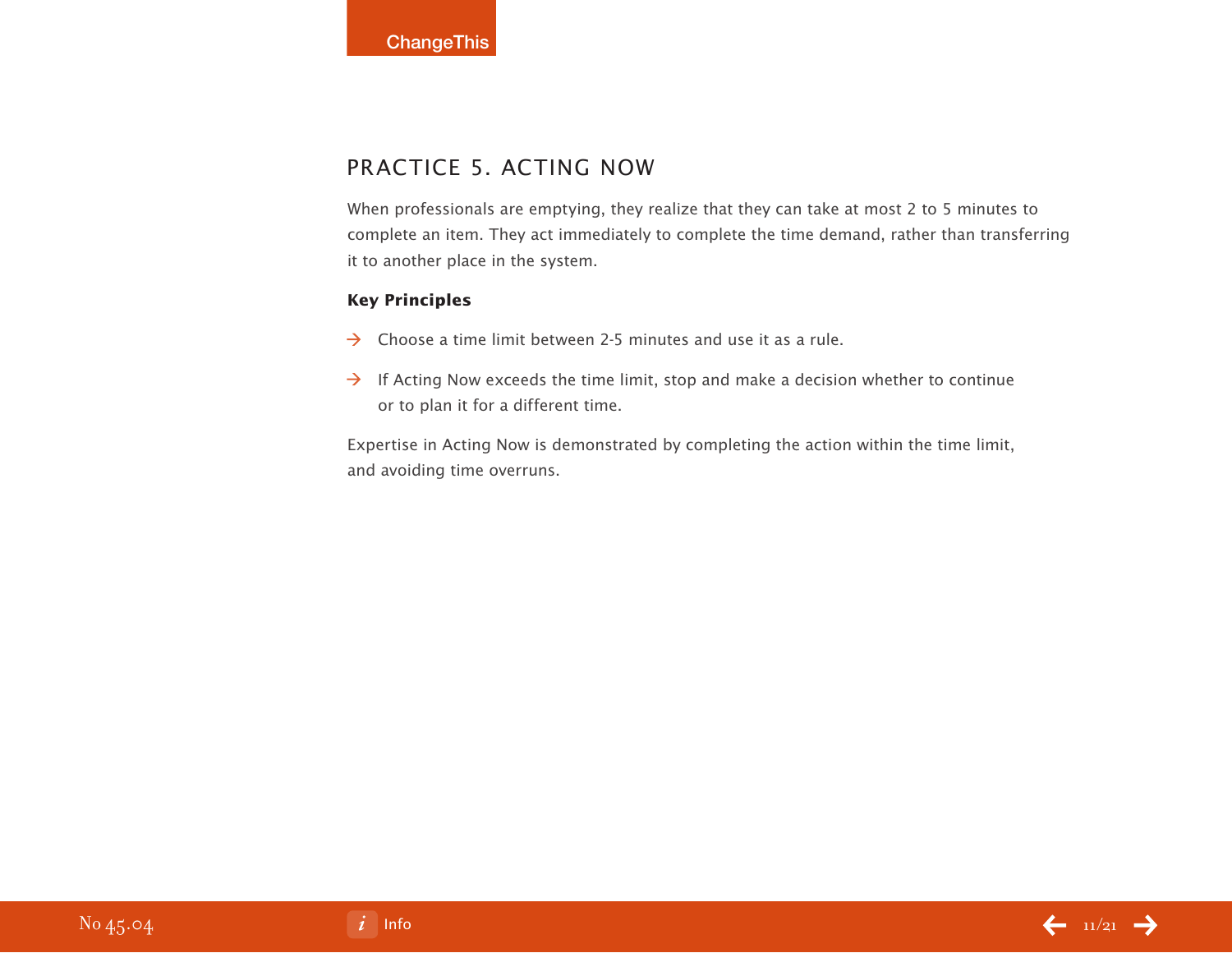# PRACTICE 5. ACTING NOW

When professionals are emptying, they realize that they can take at most 2 to 5 minutes to complete an item. They act immediately to complete the time demand, rather than transferring it to another place in the system.

#### **Key Principles**

- $\rightarrow$  Choose a time limit between 2-5 minutes and use it as a rule.
- $\rightarrow$  If Acting Now exceeds the time limit, stop and make a decision whether to continue or to plan it for a different time.

Expertise in Acting Now is demonstrated by completing the action within the time limit, and avoiding time overruns.

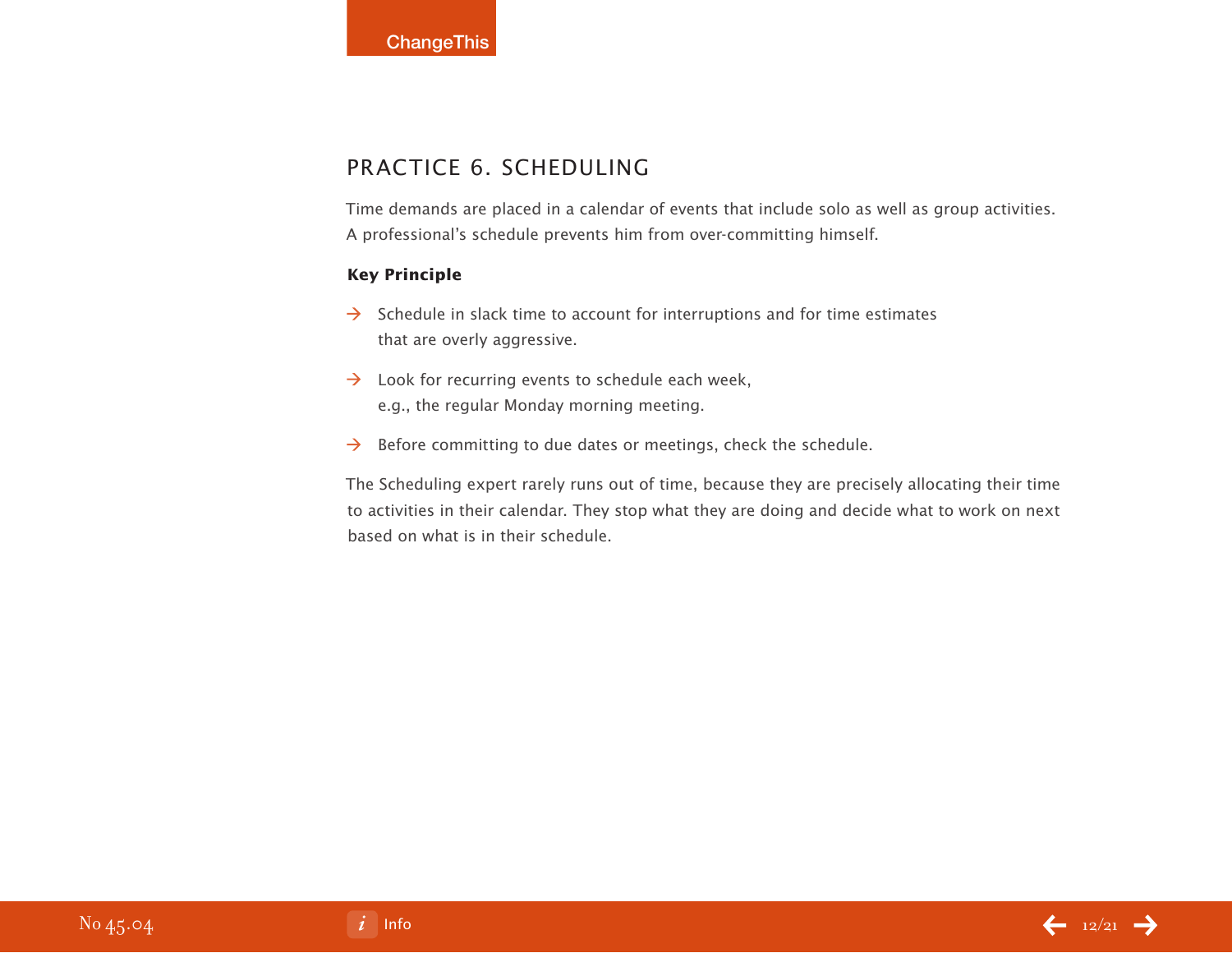# Practice 6. Scheduling

Time demands are placed in a calendar of events that include solo as well as group activities. A professional's schedule prevents him from over-committing himself.

#### **Key Principle**

- $\rightarrow$  Schedule in slack time to account for interruptions and for time estimates that are overly aggressive.
- $\rightarrow$  Look for recurring events to schedule each week, e.g., the regular Monday morning meeting.
- $\rightarrow$  Before committing to due dates or meetings, check the schedule.

The Scheduling expert rarely runs out of time, because they are precisely allocating their time to activities in their calendar. They stop what they are doing and decide what to work on next based on what is in their schedule.

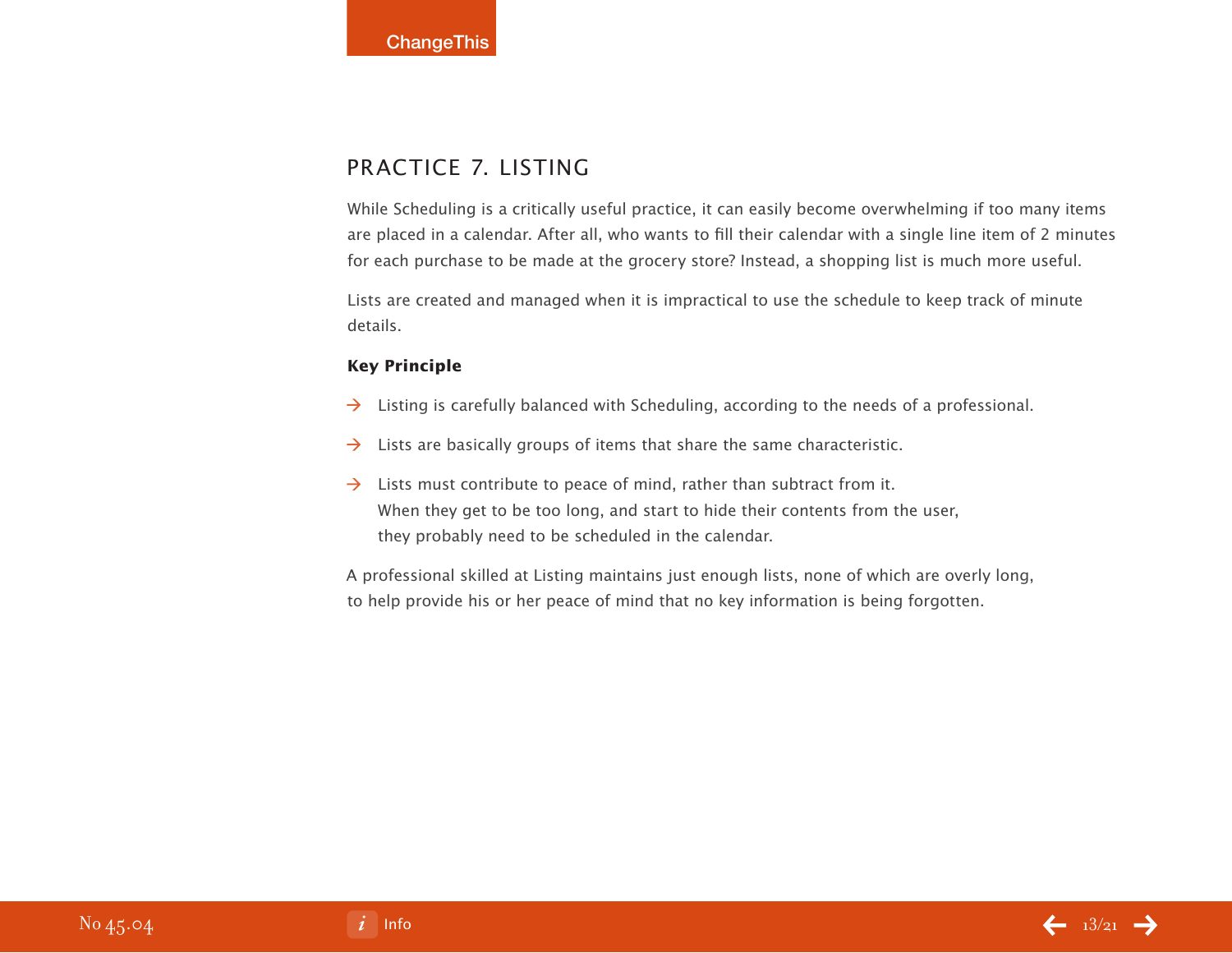# PRACTICE 7. LISTING

While Scheduling is a critically useful practice, it can easily become overwhelming if too many items are placed in a calendar. After all, who wants to fill their calendar with a single line item of 2 minutes for each purchase to be made at the grocery store? Instead, a shopping list is much more useful.

Lists are created and managed when it is impractical to use the schedule to keep track of minute details.

#### **Key Principle**

- $\rightarrow$  Listing is carefully balanced with Scheduling, according to the needs of a professional.
- Lists are basically groups of items that share the same characteristic.  $\rightarrow$
- $\rightarrow$  Lists must contribute to peace of mind, rather than subtract from it. When they get to be too long, and start to hide their contents from the user, they probably need to be scheduled in the calendar.

A professional skilled at Listing maintains just enough lists, none of which are overly long, to help provide his or her peace of mind that no key information is being forgotten.

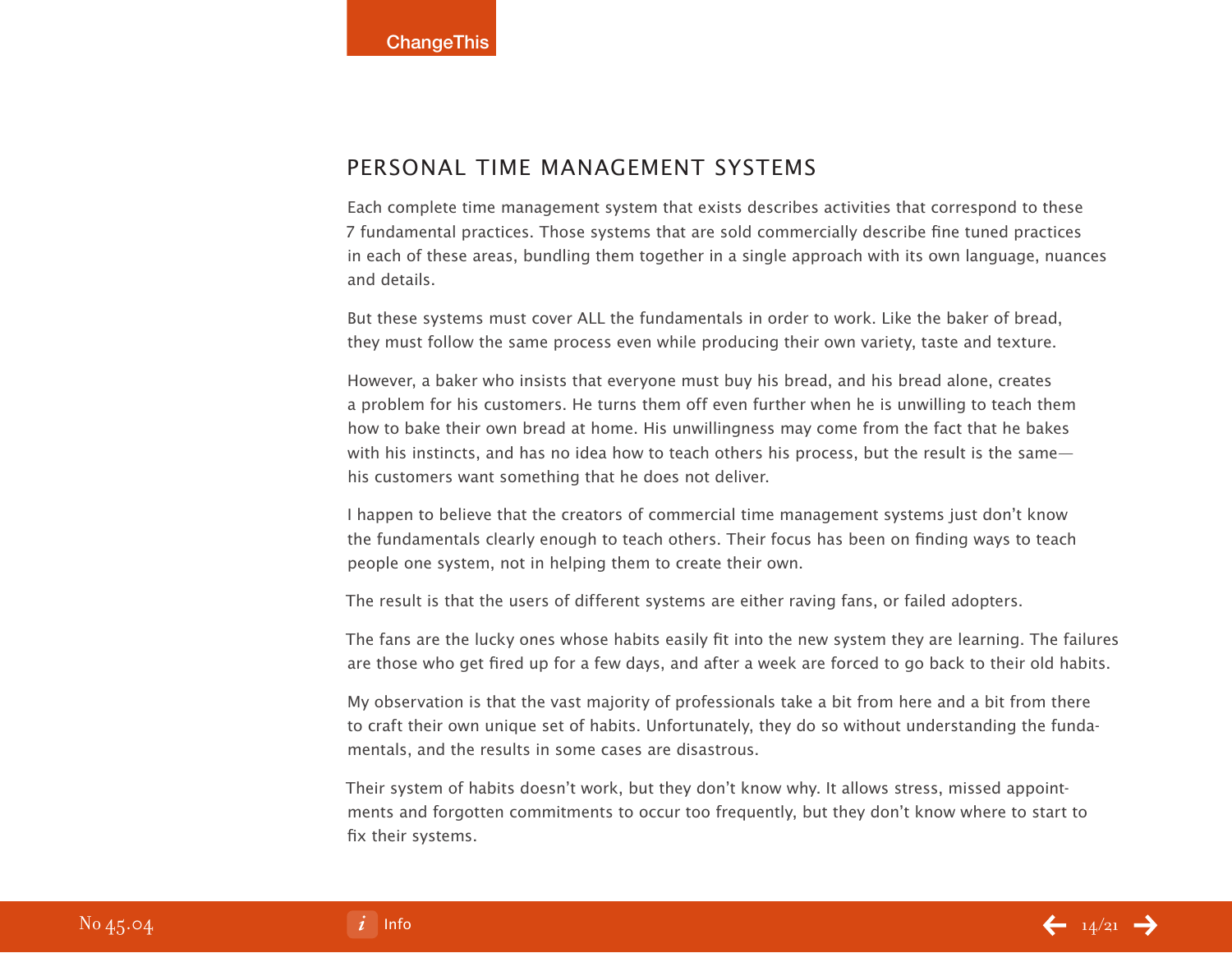## Personal Time Management Systems

Each complete time management system that exists describes activities that correspond to these 7 fundamental practices. Those systems that are sold commercially describe fine tuned practices in each of these areas, bundling them together in a single approach with its own language, nuances and details.

But these systems must cover ALL the fundamentals in order to work. Like the baker of bread, they must follow the same process even while producing their own variety, taste and texture.

However, a baker who insists that everyone must buy his bread, and his bread alone, creates a problem for his customers. He turns them off even further when he is unwilling to teach them how to bake their own bread at home. His unwillingness may come from the fact that he bakes with his instincts, and has no idea how to teach others his process, but the result is the same his customers want something that he does not deliver.

I happen to believe that the creators of commercial time management systems just don't know the fundamentals clearly enough to teach others. Their focus has been on finding ways to teach people one system, not in helping them to create their own.

The result is that the users of different systems are either raving fans, or failed adopters.

The fans are the lucky ones whose habits easily fit into the new system they are learning. The failures are those who get fired up for a few days, and after a week are forced to go back to their old habits.

My observation is that the vast majority of professionals take a bit from here and a bit from there to craft their own unique set of habits. Unfortunately, they do so without understanding the fundamentals, and the results in some cases are disastrous.

Their system of habits doesn't work, but they don't know why. It allows stress, missed appointments and forgotten commitments to occur too frequently, but they don't know where to start to fix their systems.

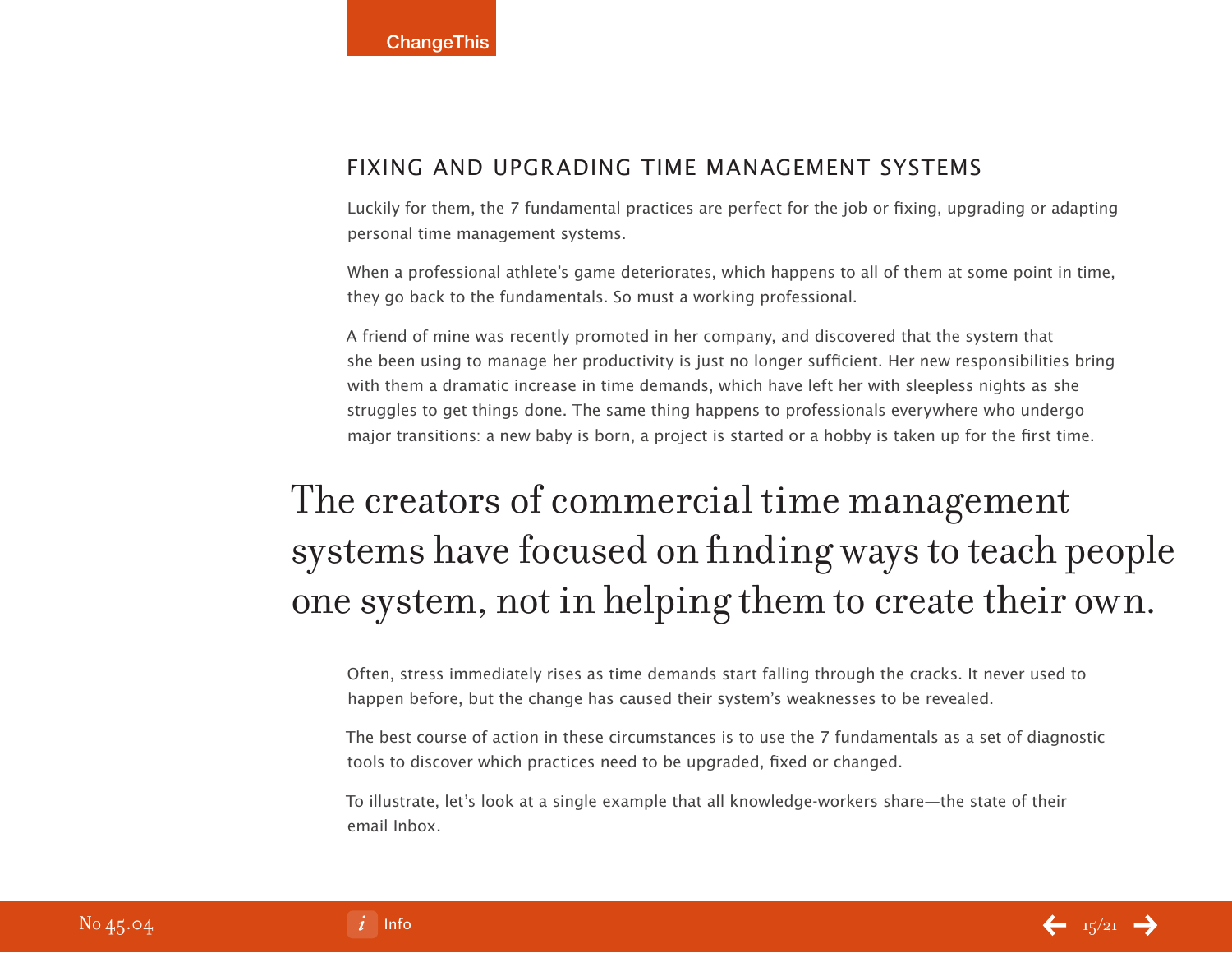## Fixing and Upgrading Time Management Systems

Luckily for them, the 7 fundamental practices are perfect for the job or fixing, upgrading or adapting personal time management systems.

When a professional athlete's game deteriorates, which happens to all of them at some point in time, they go back to the fundamentals. So must a working professional.

A friend of mine was recently promoted in her company, and discovered that the system that she been using to manage her productivity is just no longer sufficient. Her new responsibilities bring with them a dramatic increase in time demands, which have left her with sleepless nights as she struggles to get things done. The same thing happens to professionals everywhere who undergo major transitions: a new baby is born, a project is started or a hobby is taken up for the first time.

# The creators of commercial time management systems have focused on finding ways to teach people one system, not in helping them to create their own.

Often, stress immediately rises as time demands start falling through the cracks. It never used to happen before, but the change has caused their system's weaknesses to be revealed.

The best course of action in these circumstances is to use the 7 fundamentals as a set of diagnostic tools to discover which practices need to be upgraded, fixed or changed.

To illustrate, let's look at a single example that all knowledge-workers share—the state of their email Inbox.

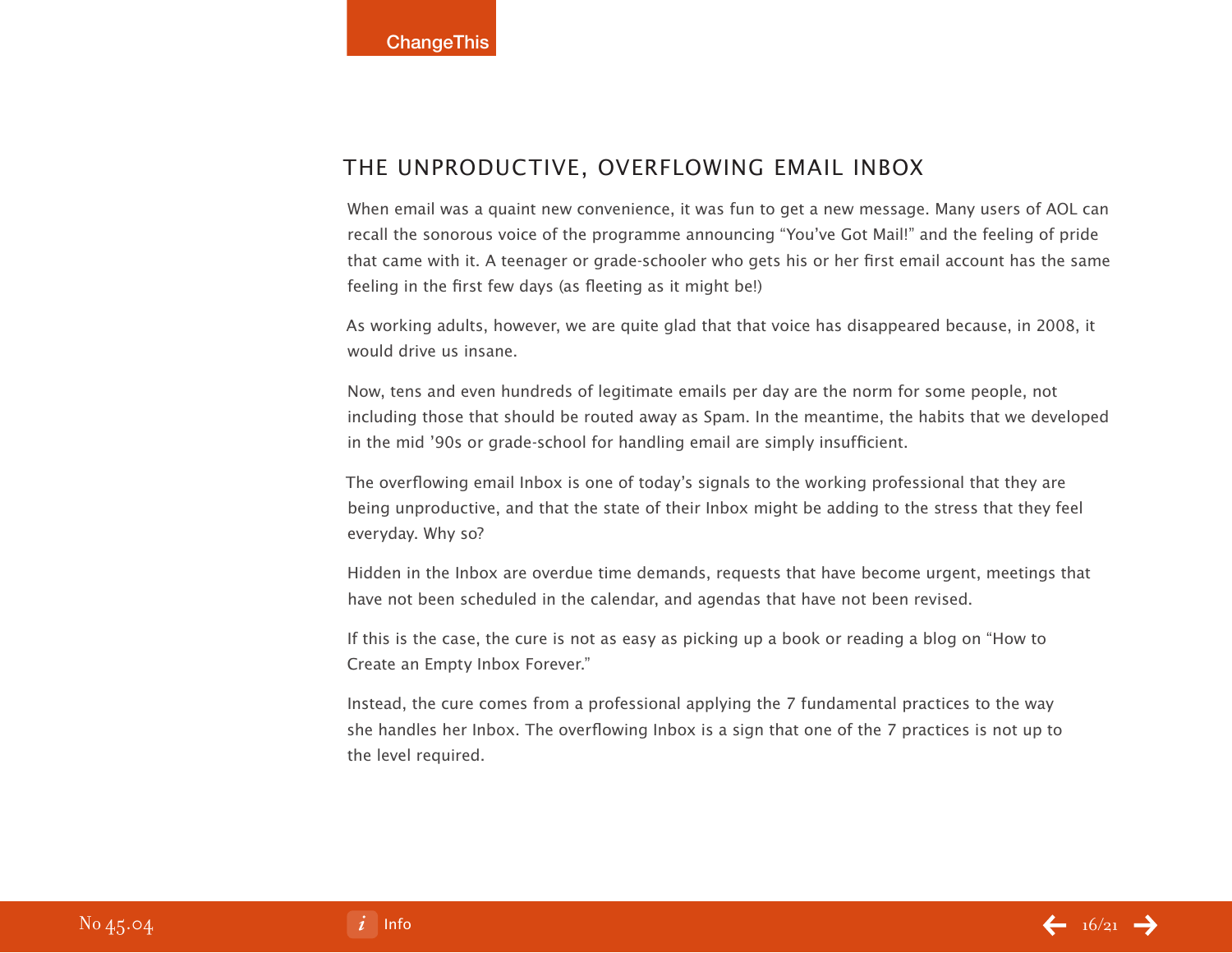### The Unproductive, Overflowing Email Inbox

When email was a quaint new convenience, it was fun to get a new message. Many users of AOL can recall the sonorous voice of the programme announcing "You've Got Mail!" and the feeling of pride that came with it. A teenager or grade-schooler who gets his or her first email account has the same feeling in the first few days (as fleeting as it might be!)

As working adults, however, we are quite glad that that voice has disappeared because, in 2008, it would drive us insane.

Now, tens and even hundreds of legitimate emails per day are the norm for some people, not including those that should be routed away as Spam. In the meantime, the habits that we developed in the mid '90s or grade-school for handling email are simply insufficient.

The overflowing email Inbox is one of today's signals to the working professional that they are being unproductive, and that the state of their Inbox might be adding to the stress that they feel everyday. Why so?

Hidden in the Inbox are overdue time demands, requests that have become urgent, meetings that have not been scheduled in the calendar, and agendas that have not been revised.

If this is the case, the cure is not as easy as picking up a book or reading a blog on "How to Create an Empty Inbox Forever."

Instead, the cure comes from a professional applying the 7 fundamental practices to the way she handles her Inbox. The overflowing Inbox is a sign that one of the 7 practices is not up to the level required.

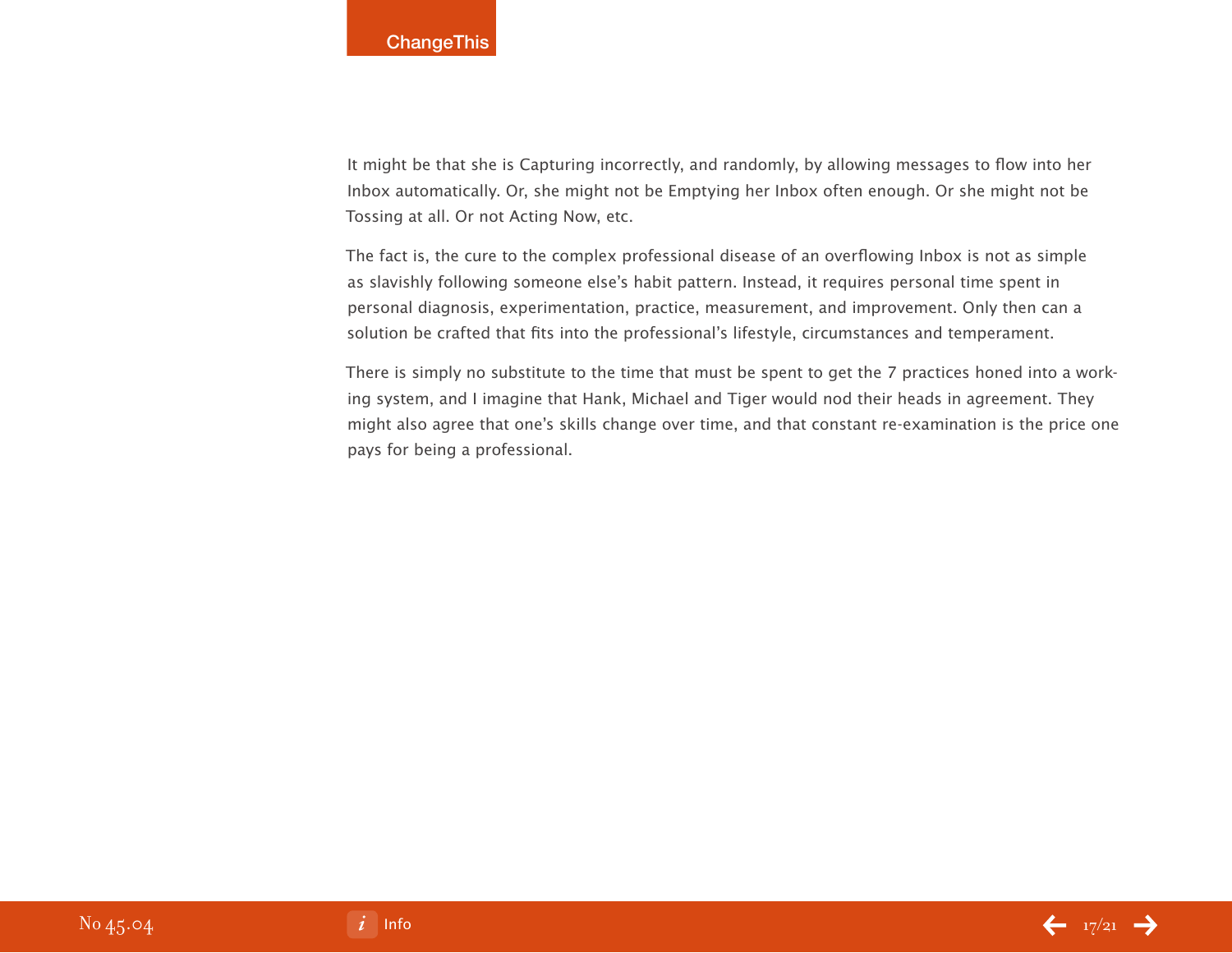It might be that she is Capturing incorrectly, and randomly, by allowing messages to flow into her Inbox automatically. Or, she might not be Emptying her Inbox often enough. Or she might not be Tossing at all. Or not Acting Now, etc.

The fact is, the cure to the complex professional disease of an overflowing Inbox is not as simple as slavishly following someone else's habit pattern. Instead, it requires personal time spent in personal diagnosis, experimentation, practice, measurement, and improvement. Only then can a solution be crafted that fits into the professional's lifestyle, circumstances and temperament.

There is simply no substitute to the time that must be spent to get the 7 practices honed into a working system, and I imagine that Hank, Michael and Tiger would nod their heads in agreement. They might also agree that one's skills change over time, and that constant re-examination is the price one pays for being a professional.

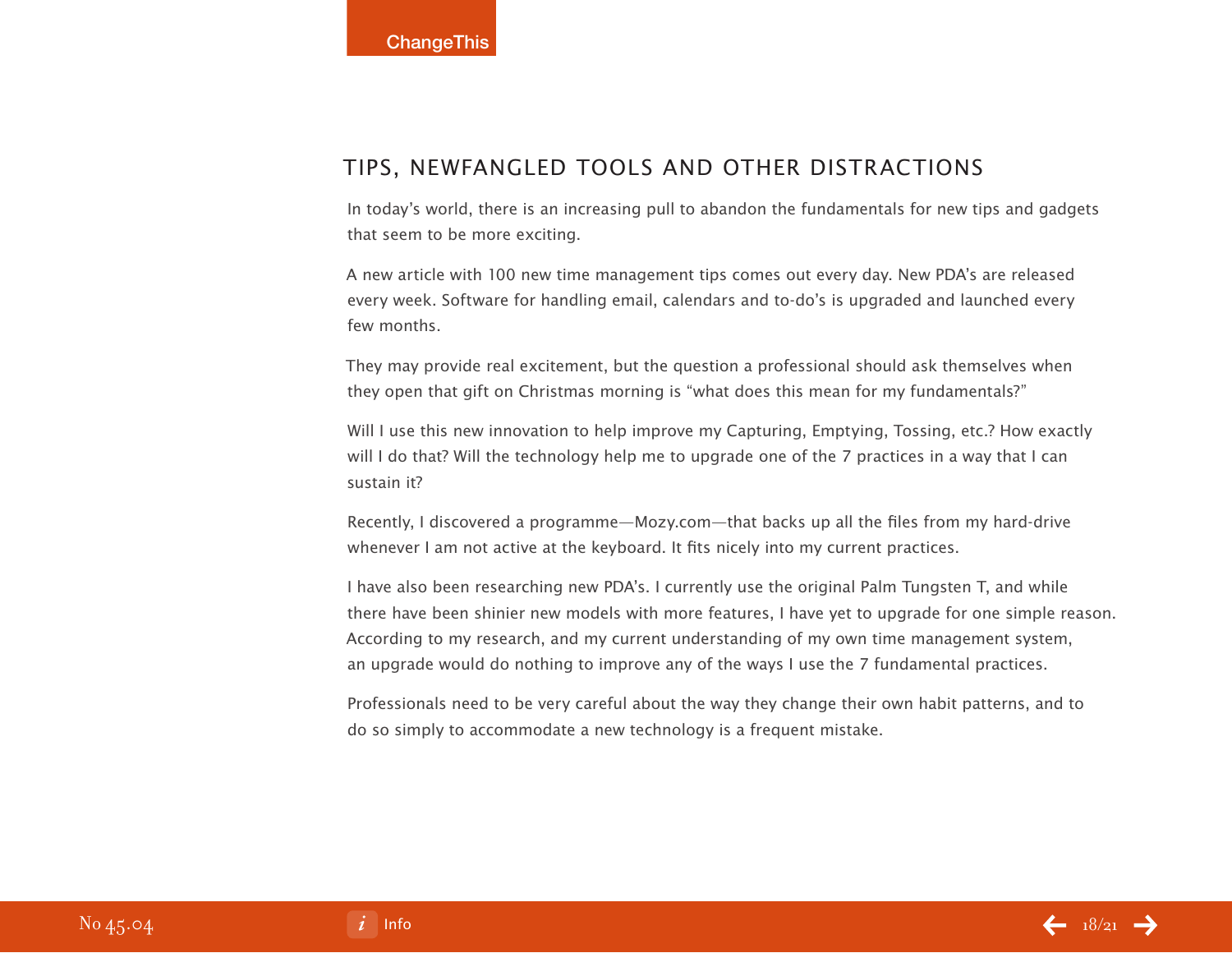## Tips, Newfangled Tools and Other Distractions

In today's world, there is an increasing pull to abandon the fundamentals for new tips and gadgets that seem to be more exciting.

A new article with 100 new time management tips comes out every day. New PDA's are released every week. Software for handling email, calendars and to-do's is upgraded and launched every few months.

They may provide real excitement, but the question a professional should ask themselves when they open that gift on Christmas morning is "what does this mean for my fundamentals?"

Will I use this new innovation to help improve my Capturing, Emptying, Tossing, etc.? How exactly will I do that? Will the technology help me to upgrade one of the 7 practices in a way that I can sustain it?

Recently, I discovered a programme—Mozy.com—that backs up all the files from my hard-drive whenever I am not active at the keyboard. It fits nicely into my current practices.

I have also been researching new PDA's. I currently use the original Palm Tungsten T, and while there have been shinier new models with more features, I have yet to upgrade for one simple reason. According to my research, and my current understanding of my own time management system, an upgrade would do nothing to improve any of the ways I use the 7 fundamental practices.

Professionals need to be very careful about the way they change their own habit patterns, and to do so simply to accommodate a new technology is a frequent mistake.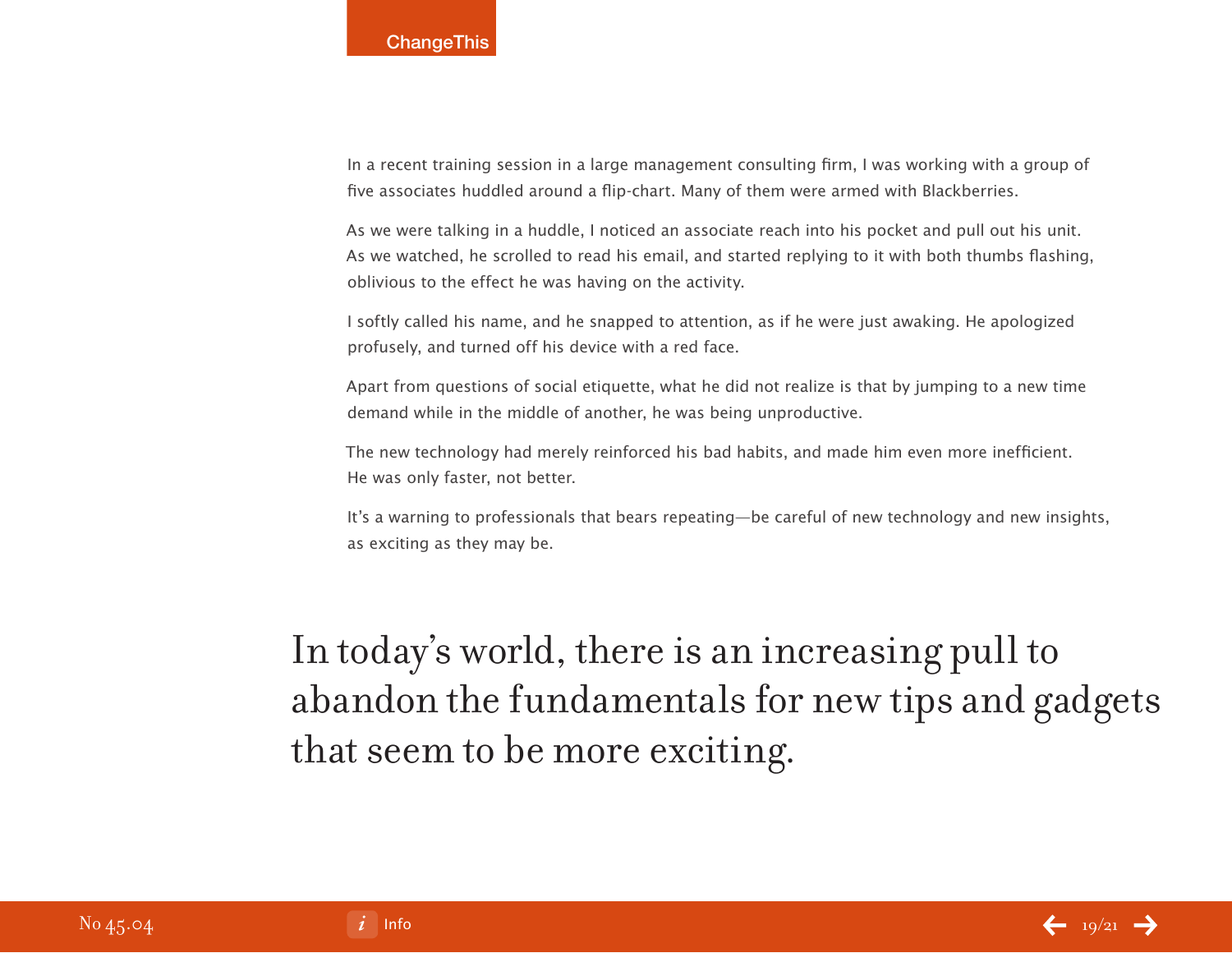In a recent training session in a large management consulting firm, I was working with a group of five associates huddled around a flip-chart. Many of them were armed with Blackberries.

As we were talking in a huddle, I noticed an associate reach into his pocket and pull out his unit. As we watched, he scrolled to read his email, and started replying to it with both thumbs flashing, oblivious to the effect he was having on the activity.

I softly called his name, and he snapped to attention, as if he were just awaking. He apologized profusely, and turned off his device with a red face.

Apart from questions of social etiquette, what he did not realize is that by jumping to a new time demand while in the middle of another, he was being unproductive.

The new technology had merely reinforced his bad habits, and made him even more inefficient. He was only faster, not better.

It's a warning to professionals that bears repeating—be careful of new technology and new insights, as exciting as they may be.

In today's world, there is an increasing pull to abandon the fundamentals for new tips and gadgets that seem to be more exciting.

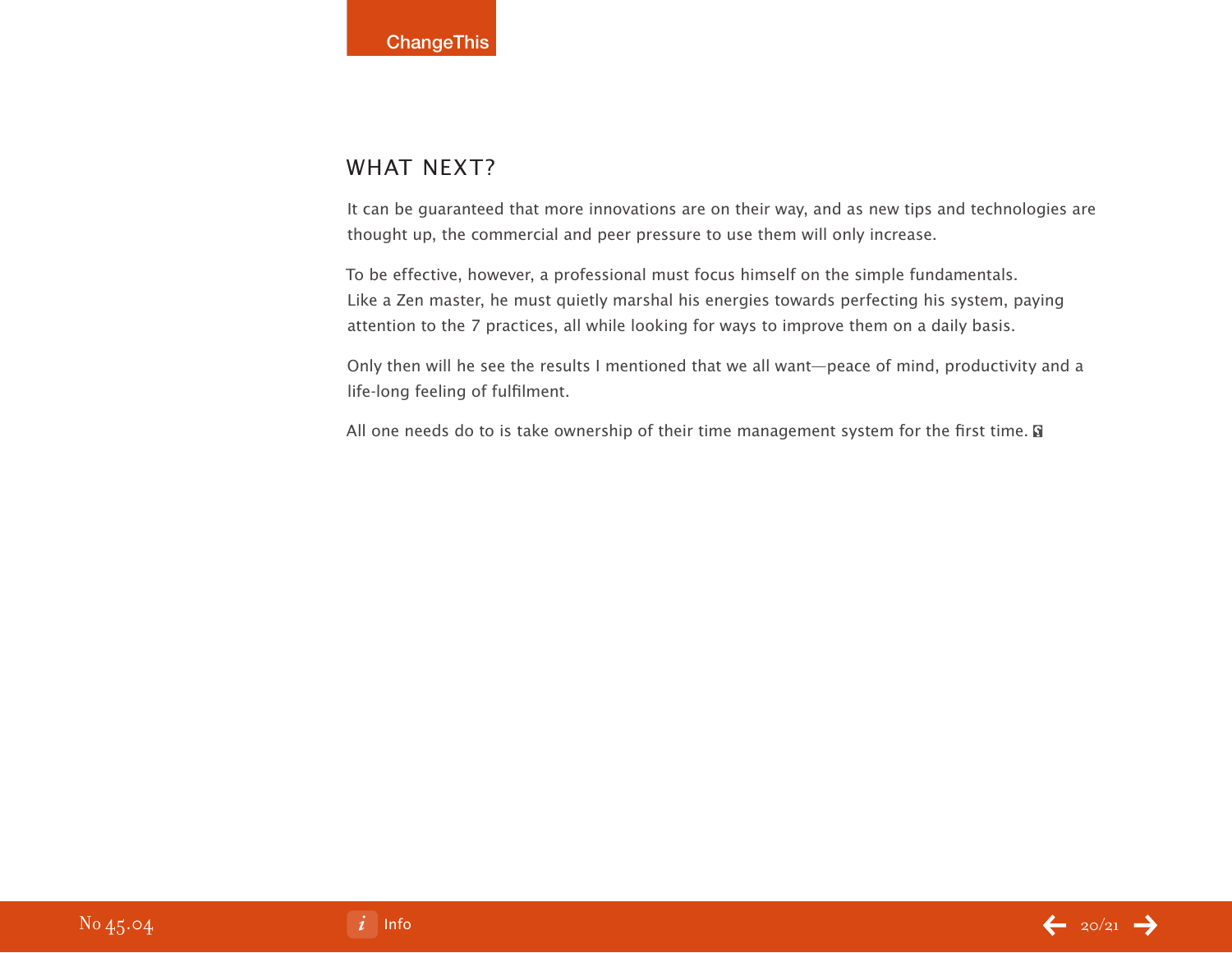# WHAT NEXT?

It can be guaranteed that more innovations are on their way, and as new tips and technologies are thought up, the commercial and peer pressure to use them will only increase.

To be effective, however, a professional must focus himself on the simple fundamentals. Like a Zen master, he must quietly marshal his energies towards perfecting his system, paying attention to the 7 practices, all while looking for ways to improve them on a daily basis.

Only then will he see the results I mentioned that we all want—peace of mind, productivity and a life-long feeling of fulfilment.

All one needs do to is take ownership of their time management system for the first time.  $\blacksquare$